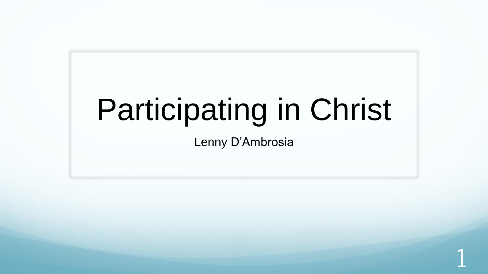# Participating in Christ

Lenny D'Ambrosia

1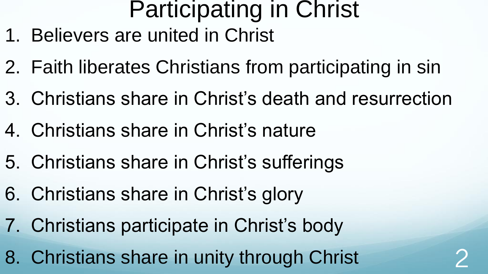## Participating in Christ

- 1. Believers are united in Christ
- 2. Faith liberates Christians from participating in sin
- 3. Christians share in Christ's death and resurrection
- 4. Christians share in Christ's nature
- 5. Christians share in Christ's sufferings
- 6. Christians share in Christ's glory
- 7. Christians participate in Christ's body
- 8. Christians share in unity through Christ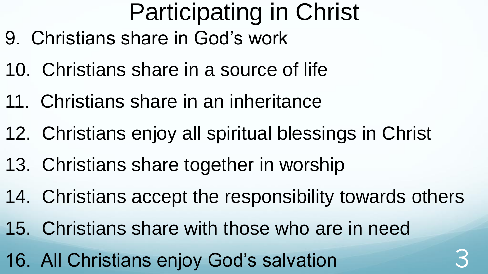## Participating in Christ

- 9. Christians share in God's work
- 10. Christians share in a source of life
- 11. Christians share in an inheritance
- 12. Christians enjoy all spiritual blessings in Christ
- 13. Christians share together in worship
- 14. Christians accept the responsibility towards others
- 15. Christians share with those who are in need
- 16. All Christians enjoy God's salvation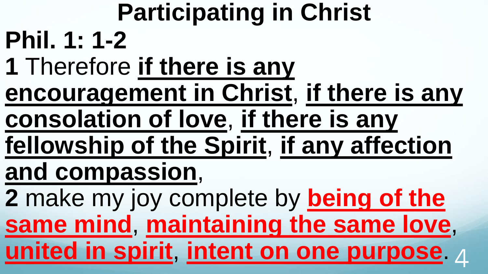**Participating in Christ Phil. 1: 1-2 1** Therefore **if there is any encouragement in Christ**, **if there is any consolation of love**, **if there is any fellowship of the Spirit**, **if any affection and compassion**, **2** make my joy complete by **being of the same mind**, **maintaining the same love**, **united in spirit**, **intent on one purpose**. 4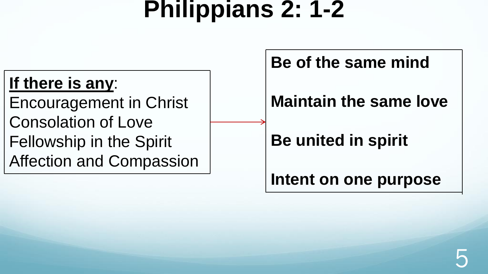## **Philippians 2: 1-2**

#### **If there is any**:

Encouragement in Christ Consolation of Love Fellowship in the Spirit Affection and Compassion **Be of the same mind**

#### **Maintain the same love**

#### **Be united in spirit**

**Intent on one purpose**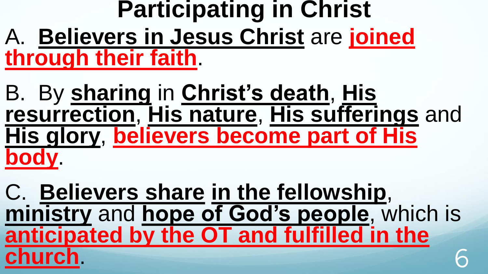#### **Participating in Christ** A. **Believers in Jesus Christ** are **joined through their faith**.

B. By **sharing** in **Christ's death**, **His resurrection**, **His nature**, **His sufferings** and **His glory**, **believers become part of His body**.

C. **Believers share in the fellowship**, **ministry** and **hope of God's people**, which is **anticipated by the OT and fulfilled in the church**. 6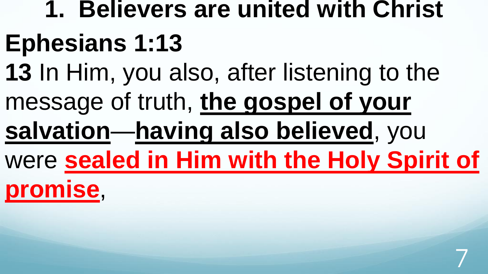# **1. Believers are united with Christ Ephesians 1:13 13** In Him, you also, after listening to the message of truth, **the gospel of your salvation**—**having also believed**, you were **sealed in Him with the Holy Spirit of**

7

**promise**,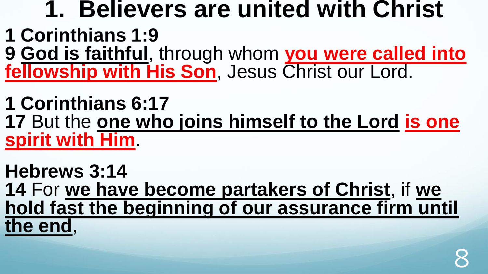#### **1. Believers are united with Christ 1 Corinthians 1:9 9 God is faithful**, through whom **you were called into fellowship with His Son**, Jesus Christ our Lord.

**1 Corinthians 6:17 17** But the **one who joins himself to the Lord is one spirit with Him**.

**Hebrews 3:14 14** For **we have become partakers of Christ**, if **we hold fast the beginning of our assurance firm until the end**,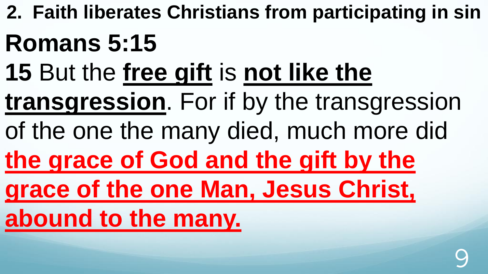**2. Faith liberates Christians from participating in sin Romans 5:15 15** But the **free gift** is **not like the transgression**. For if by the transgression of the one the many died, much more did **the grace of God and the gift by the grace of the one Man, Jesus Christ, abound to the many.** 

9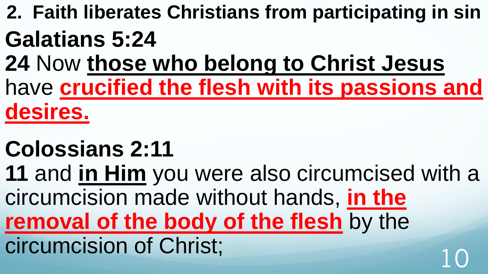**2. Faith liberates Christians from participating in sin Galatians 5:24** 

**24** Now **those who belong to Christ Jesus**  have **crucified the flesh with its passions and desires.** 

#### **Colossians 2:11**

**11** and **in Him** you were also circumcised with a circumcision made without hands, **in the removal of the body of the flesh** by the circumcision of Christ;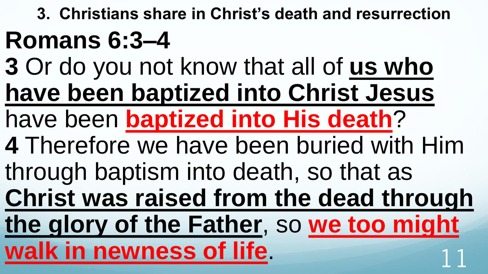**3. Christians share in Christ's death and resurrection Romans 6:3–4 3** Or do you not know that all of **us who have been baptized into Christ Jesus**  have been **baptized into His death**? **4** Therefore we have been buried with Him through baptism into death, so that as **Christ was raised from the dead through the glory of the Father**, so **we too might**  walk in newness of life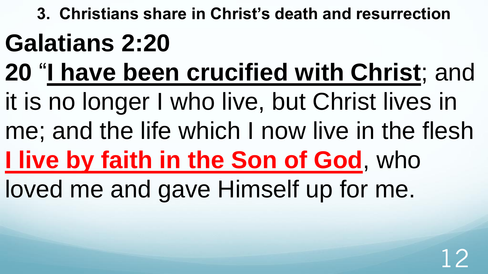**3. Christians share in Christ's death and resurrection Galatians 2:20** 

**20** "**I have been crucified with Christ**; and it is no longer I who live, but Christ lives in me; and the life which I now live in the flesh

## **I live by faith in the Son of God**, who

loved me and gave Himself up for me.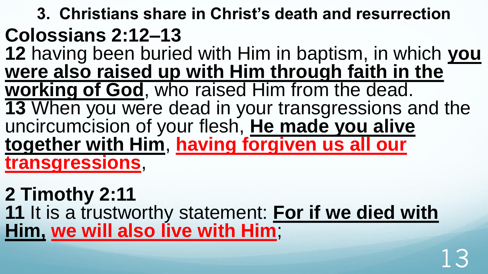**3. Christians share in Christ's death and resurrection Colossians 2:12–13 12** having been buried with Him in baptism, in which **you**  were also raised up with Him through faith in the **working of God**, who raised Him from the dead. **13** When you were dead in your transgressions and the uncircumcision of your flesh, **He made you alive together with Him**, **having forgiven us all our transgressions**,

**2 Timothy 2:11 11** It is a trustworthy statement: **For if we died with Him, we will also live with Him**;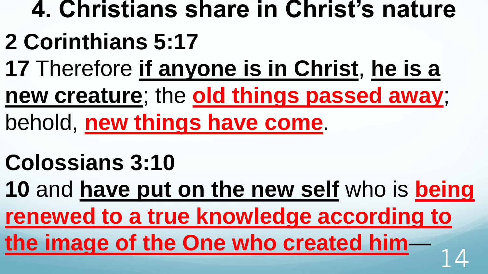## **4. Christians share in Christ's nature 2 Corinthians 5:17 17** Therefore **if anyone is in Christ**, **he is a new creature**; the **old things passed away**; behold, **new things have come**.

## **Colossians 3:10**

**10** and **have put on the new self** who is **being renewed to a true knowledge according to the image of the One who created him**— <sup>14</sup>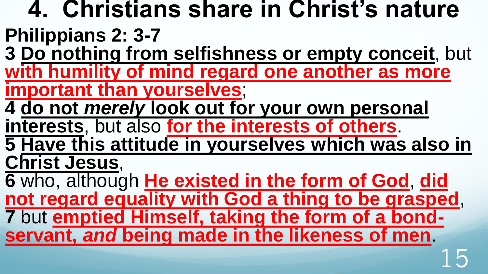**4. Christians share in Christ's nature Philippians 2: 3-7 3 Do nothing from selfishness or empty conceit**, but **with humility of mind regard one another as more important than yourselves**; **4 do not** *merely* **look out for your own personal interests**, but also **for the interests of others**. **5 Have this attitude in yourselves which was also in Christ Jesus**, **6** who, although **He existed in the form of God**, **did not regard equality with God a thing to be grasped**, **7** but **emptied Himself, taking the form of a bondservant,** *and* **being made in the likeness of men**. 15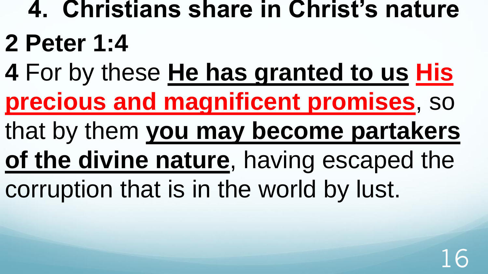## **4. Christians share in Christ's nature 2 Peter 1:4**

- **4** For by these **He has granted to us His precious and magnificent promises**, so
- that by them **you may become partakers**
- **of the divine nature**, having escaped the corruption that is in the world by lust.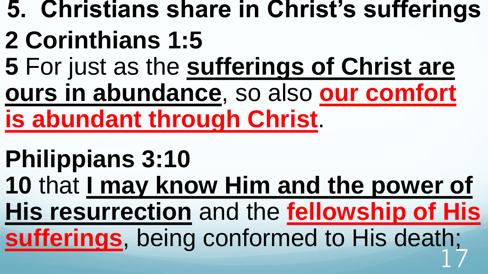- **5. Christians share in Christ's sufferings**
- **2 Corinthians 1:5**
- **5** For just as the **sufferings of Christ are ours in abundance**, so also **our comfort**
- **is abundant through Christ**.
- **Philippians 3:10**
- **10** that **I may know Him and the power of**
- **His resurrection** and the **fellowship of His**
- **sufferings**, being conformed to His death; 17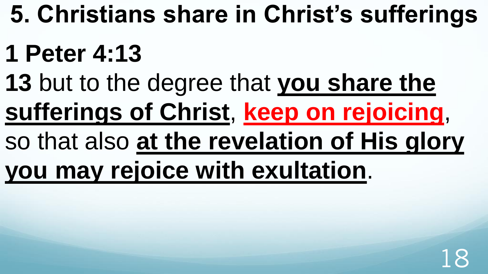## **5. Christians share in Christ's sufferings**

## **1 Peter 4:13**

**13** but to the degree that **you share the** 

**sufferings of Christ**, **keep on rejoicing**,

so that also **at the revelation of His glory** 

**you may rejoice with exultation**.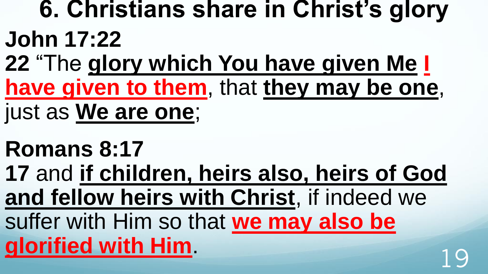## **6. Christians share in Christ's glory John 17:22**

- **22** "The **glory which You have given Me I have given to them**, that **they may be one**,
- just as **We are one**;
- **Romans 8:17**
- **17** and **if children, heirs also, heirs of God and fellow heirs with Christ**, if indeed we
- suffer with Him so that **we may also be glorified with Him**. 19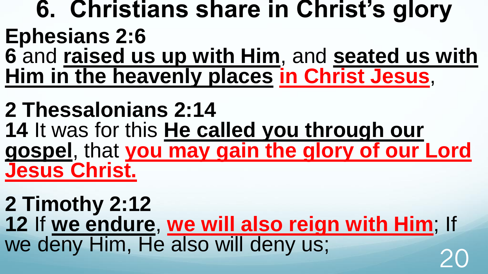#### **6. Christians share in Christ's glory Ephesians 2:6 6** and **raised us up with Him**, and **seated us with Him in the heavenly places in Christ Jesus**,

**2 Thessalonians 2:14 14** It was for this **He called you through our gospel**, that **you may gain the glory of our Lord Jesus Christ.** 

**2 Timothy 2:12 12** If **we endure**, **we will also reign with Him**; If we deny Him, He also will deny us;<br>20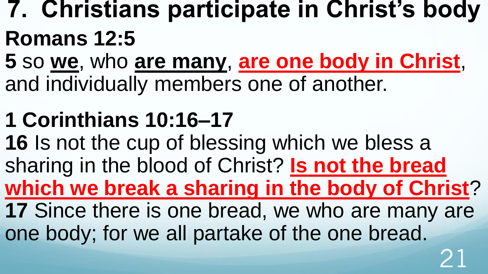## **7. Christians participate in Christ's body Romans 12:5**

**5** so **we**, who **are many**, **are one body in Christ**, and individually members one of another.

## **1 Corinthians 10:16–17**

**16** Is not the cup of blessing which we bless a sharing in the blood of Christ? **Is not the bread which we break a sharing in the body of Christ**? **17** Since there is one bread, we who are many are one body; for we all partake of the one bread.

21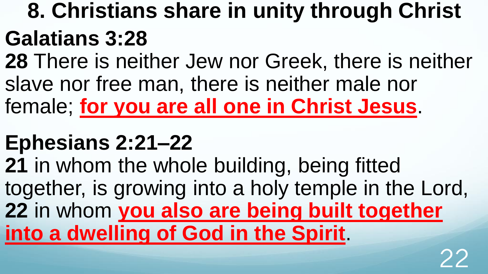## **8. Christians share in unity through Christ Galatians 3:28**

**28** There is neither Jew nor Greek, there is neither slave nor free man, there is neither male nor female; **for you are all one in Christ Jesus**.

## **Ephesians 2:21–22**

**21** in whom the whole building, being fitted together, is growing into a holy temple in the Lord, **22** in whom **you also are being built together into a dwelling of God in the Spirit**.

22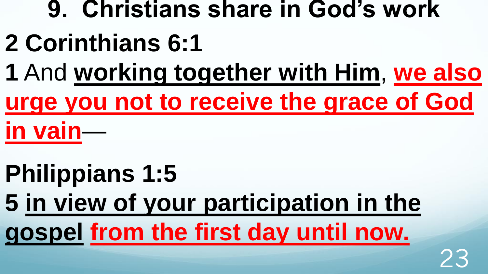# **9. Christians share in God's work**

- **2 Corinthians 6:1**
- **1** And **working together with Him**, **we also urge you not to receive the grace of God in vain**—
- **Philippians 1:5 5 in view of your participation in the gospel from the first day until now.**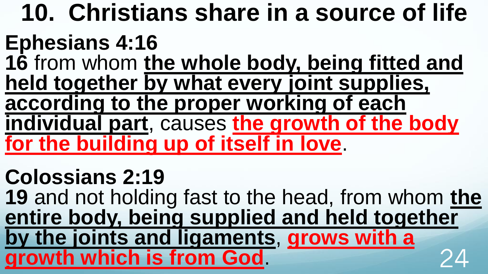**10. Christians share in a source of life Ephesians 4:16 16** from whom **the whole body, being fitted and held together by what every joint supplies, according to the proper working of each individual part**, causes **the growth of the body for the building up of itself in love**.

**Colossians 2:19 19** and not holding fast to the head, from whom **the entire body, being supplied and held together by the joints and ligaments**, **grows with a growth which is from God**. 24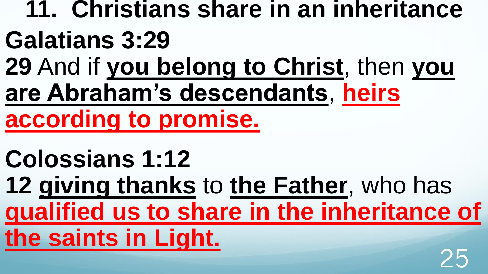## **11. Christians share in an inheritance Galatians 3:29 29** And if **you belong to Christ**, then **you**

**are Abraham's descendants**, **heirs** 

**according to promise.** 

## **Colossians 1:12**

**12 giving thanks** to **the Father**, who has **qualified us to share in the inheritance of the saints in Light.**  クト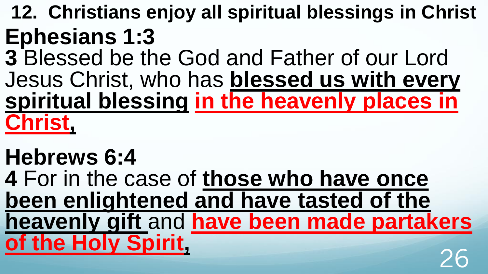#### **12. Christians enjoy all spiritual blessings in Christ Ephesians 1:3**

**3** Blessed be the God and Father of our Lord Jesus Christ, who has **blessed us with every spiritual blessing in the heavenly places in Christ,** 

#### **Hebrews 6:4 4** For in the case of **those who have once been enlightened and have tasted of the heavenly gift** and **have been made partakers of the Holy Spirit,**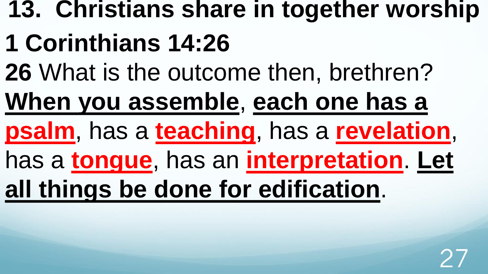## **13. Christians share in together worship**

## **1 Corinthians 14:26**

- **26** What is the outcome then, brethren?
- **When you assemble**, **each one has a**
- **psalm**, has a **teaching**, has a **revelation**,
- has a **tongue**, has an **interpretation**. **Let**
- **all things be done for edification**.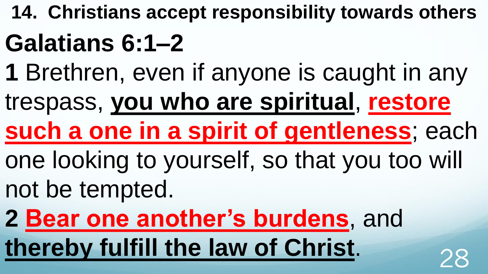- **14. Christians accept responsibility towards others Galatians 6:1–2**
- **1** Brethren, even if anyone is caught in any
- trespass, **you who are spiritual**, **restore**
- **such a one in a spirit of gentleness**; each
- one looking to yourself, so that you too will
- not be tempted.
- **2 Bear one another's burdens**, and **thereby fulfill the law of Christ.** 28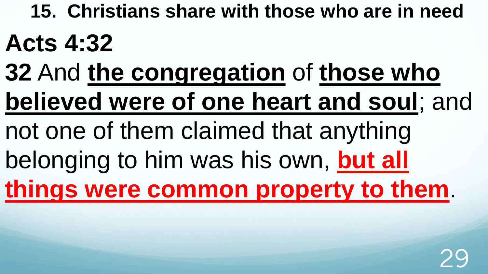**15. Christians share with those who are in need Acts 4:32** 

- **32** And **the congregation** of **those who believed were of one heart and soul**; and
- not one of them claimed that anything
- belonging to him was his own, **but all**

**things were common property to them**.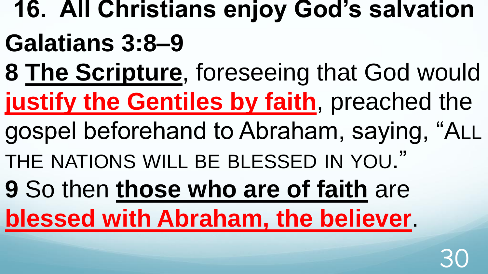- **16. All Christians enjoy God's salvation Galatians 3:8–9**
- **8 The Scripture**, foreseeing that God would **justify the Gentiles by faith**, preached the
- gospel beforehand to Abraham, saying, "ALL
- THE NATIONS WILL BE BLESSED IN YOU."
- **9** So then **those who are of faith** are

## **blessed with Abraham, the believer**.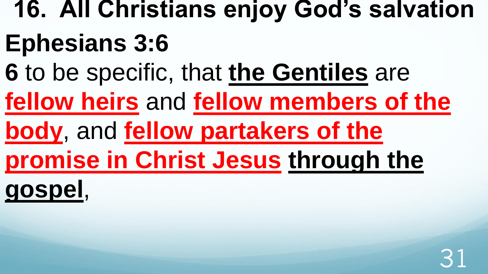# **16. All Christians enjoy God's salvation Ephesians 3:6**

- **6** to be specific, that **the Gentiles** are
- **fellow heirs** and **fellow members of the**
- **body**, and **fellow partakers of the**
- **promise in Christ Jesus through the**

**gospel**,